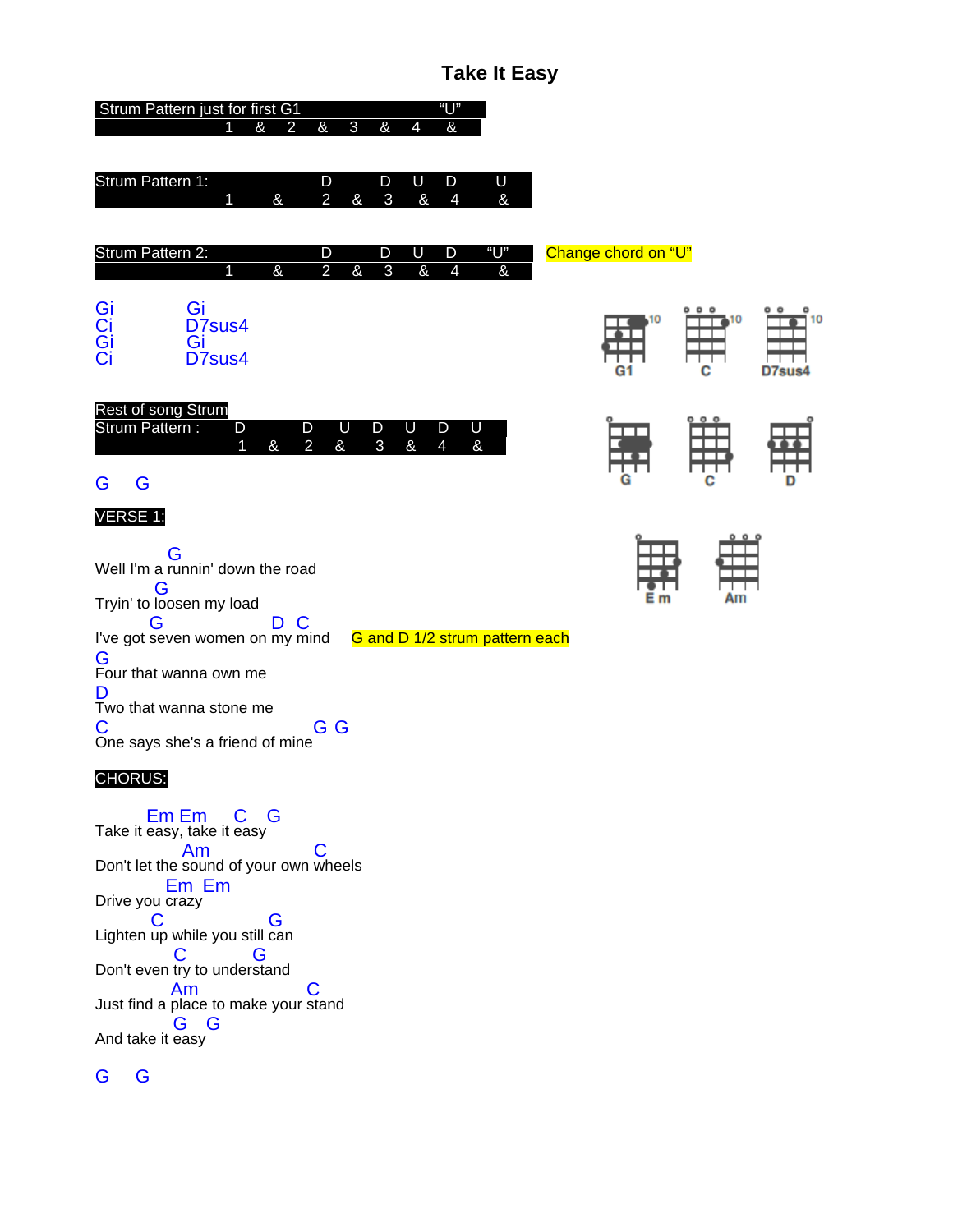# **Take It Easy**

| "U"<br>Strum Pattern just for first G1                                                                                  |                     |                         |        |
|-------------------------------------------------------------------------------------------------------------------------|---------------------|-------------------------|--------|
| &<br>$\mathbf{3}$<br>&<br>&<br>&<br>$\overline{2}$<br>4                                                                 |                     |                         |        |
| Strum Pattern 1:<br>D<br>D<br>U<br>D<br>U<br>$\overline{\mathbf{g}}$<br>&<br>$\overline{2}$<br>3<br>&<br>&<br>4<br>1    |                     |                         |        |
| "U"<br>Strum Pattern 2:<br>D<br>D<br>D<br>U                                                                             | Change chord on "U" |                         |        |
| $\overline{2}$<br>$\overline{\mathbf{g}}$<br>$\overline{3}$<br>$\overline{\mathbf{g}}$<br>&<br>$\overline{4}$<br>&<br>1 |                     |                         |        |
| Gi<br>Ci<br>Ci<br>Gi<br>D7sus4                                                                                          | 10                  | 0 <sub>0</sub><br>10    |        |
| Gi<br>D7sus4                                                                                                            | G1                  | ┰┰<br>с                 | D7sus4 |
| Rest of song Strum<br>Strum Pattern :<br>U<br>D<br>D<br>U<br>D<br>D<br>U                                                |                     | $\circ$ $\circ$ $\circ$ |        |
| $\overline{2}$<br>$\overline{\mathbf{g}}$<br>$\overline{4}$<br>$\overline{\mathbf{g}}$<br>$\overline{3}$<br>ଝ<br>&<br>1 |                     |                         |        |
| G<br>G                                                                                                                  | G                   | с                       | D      |
| <b>VERSE 1:</b>                                                                                                         |                     | 000                     |        |
| G<br>Well I'm a runnin' down the road                                                                                   |                     |                         |        |
| G<br>Tryin' to loosen my load                                                                                           | Е                   | Am                      |        |
| C<br>G<br>D<br>I've got seven women on my mind<br>G and D 1/2 strum pattern each                                        |                     |                         |        |
| G<br>Four that wanna own me                                                                                             |                     |                         |        |
| D<br>Two that wanna stone me                                                                                            |                     |                         |        |
| G G<br>С<br>One says she's a friend of mine                                                                             |                     |                         |        |
|                                                                                                                         |                     |                         |        |

CHORUS:

Take it Em easy Em , take it C easy G Don't let the Am sound of your own C wheels Drive you Em crazy Em Lighten C up while you still G can Don't even C try to under G stand Just find a Am place to make your C stand And take it G easy G

# G G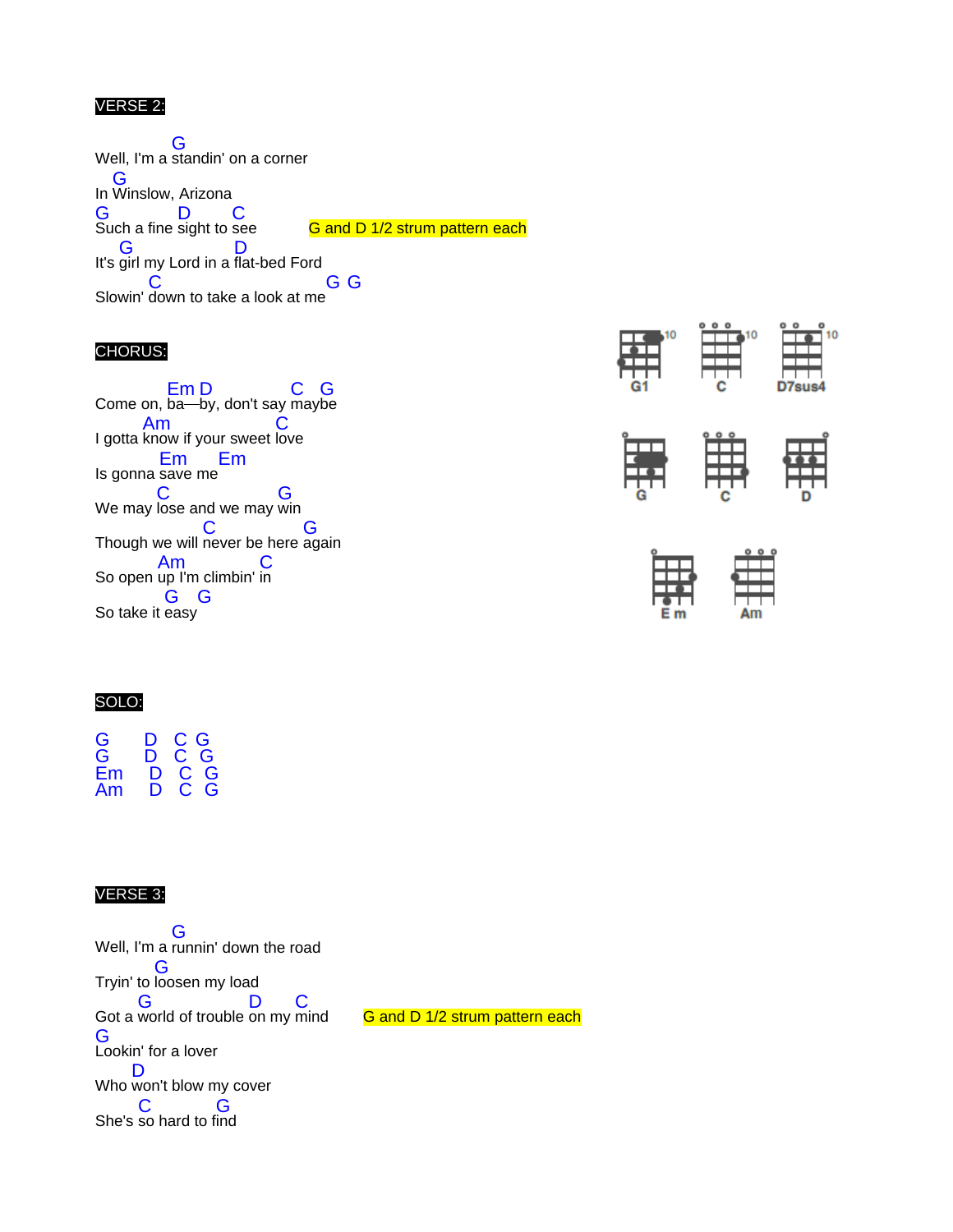### VERSE 2:

Well, I'm a G standin' on a corner In G Winslow, Arizona G Such a fine D sight to C G and D 1/2 strum pattern each It's G girl my Lord in a D flat-bed Ford Slowin' down to take a look at me  $\overline{C}$ G <sup>G</sup>

#### CHORUS:

Come on, Em ba D by, don't say C may G be I gotta Am know if your sweet  $\mathbf C$ love Is gonna Em save me Em We may  $\mathbf C$ lose and we may G win Though we will never be here again C G So open Am up I'm climbin'  $\mathbf C$ in So take it G easy G







#### SOLO:

| G  | D | C G |   |
|----|---|-----|---|
| G  | D | C.  | G |
| Fm | D | С   | G |
| Am | D | С   | G |
|    |   |     |   |

#### VERSE 3:

Well, I'm a G runnin' down the road Tryin' to G loosen my load Got a G world of trouble D on my C G and D 1/2 strum pattern each G Lookin' for a lover Who won't blow my cover D She's C so hard to f G ind